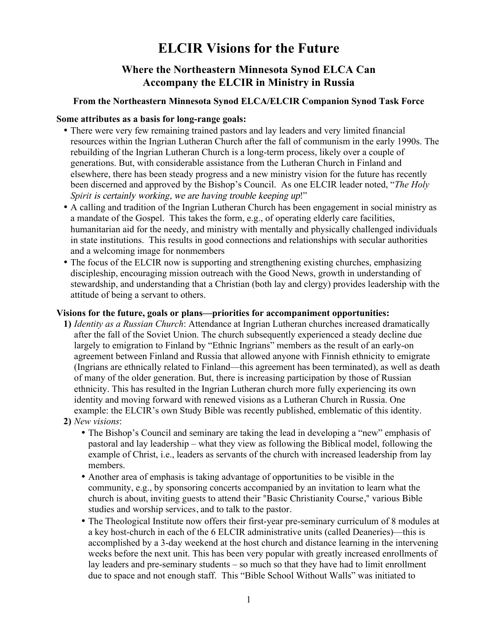# **ELCIR Visions for the Future**

# **Where the Northeastern Minnesota Synod ELCA Can Accompany the ELCIR in Ministry in Russia**

## **From the Northeastern Minnesota Synod ELCA/ELCIR Companion Synod Task Force**

#### **Some attributes as a basis for long-range goals:**

- There were very few remaining trained pastors and lay leaders and very limited financial resources within the Ingrian Lutheran Church after the fall of communism in the early 1990s. The rebuilding of the Ingrian Lutheran Church is a long-term process, likely over a couple of generations. But, with considerable assistance from the Lutheran Church in Finland and elsewhere, there has been steady progress and a new ministry vision for the future has recently been discerned and approved by the Bishop's Council. As one ELCIR leader noted, "*The Holy Spirit* is certainly working, we are having trouble keeping up!"
- A calling and tradition of the Ingrian Lutheran Church has been engagement in social ministry as a mandate of the Gospel. This takes the form, e.g., of operating elderly care facilities, humanitarian aid for the needy, and ministry with mentally and physically challenged individuals in state institutions. This results in good connections and relationships with secular authorities and a welcoming image for nonmembers
- The focus of the ELCIR now is supporting and strengthening existing churches, emphasizing discipleship, encouraging mission outreach with the Good News, growth in understanding of stewardship, and understanding that a Christian (both lay and clergy) provides leadership with the attitude of being a servant to others.

#### **Visions for the future, goals or plans—priorities for accompaniment opportunities:**

- **1)** *Identity as a Russian Church*: Attendance at Ingrian Lutheran churches increased dramatically after the fall of the Soviet Union. The church subsequently experienced a steady decline due largely to emigration to Finland by "Ethnic Ingrians" members as the result of an early-on agreement between Finland and Russia that allowed anyone with Finnish ethnicity to emigrate (Ingrians are ethnically related to Finland—this agreement has been terminated), as well as death of many of the older generation. But, there is increasing participation by those of Russian ethnicity. This has resulted in the Ingrian Lutheran church more fully experiencing its own identity and moving forward with renewed visions as a Lutheran Church in Russia. One example: the ELCIR's own Study Bible was recently published, emblematic of this identity.
- **2)** *New visions*:
	- The Bishop's Council and seminary are taking the lead in developing a "new" emphasis of pastoral and lay leadership – what they view as following the Biblical model, following the example of Christ, i.e., leaders as servants of the church with increased leadership from lay members.
	- Another area of emphasis is taking advantage of opportunities to be visible in the community, e.g., by sponsoring concerts accompanied by an invitation to learn what the church is about, inviting guests to attend their "Basic Christianity Course," various Bible studies and worship services, and to talk to the pastor.
	- The Theological Institute now offers their first-year pre-seminary curriculum of 8 modules at a key host-church in each of the 6 ELCIR administrative units (called Deaneries)—this is accomplished by a 3-day weekend at the host church and distance learning in the intervening weeks before the next unit. This has been very popular with greatly increased enrollments of lay leaders and pre-seminary students – so much so that they have had to limit enrollment due to space and not enough staff. This "Bible School Without Walls" was initiated to